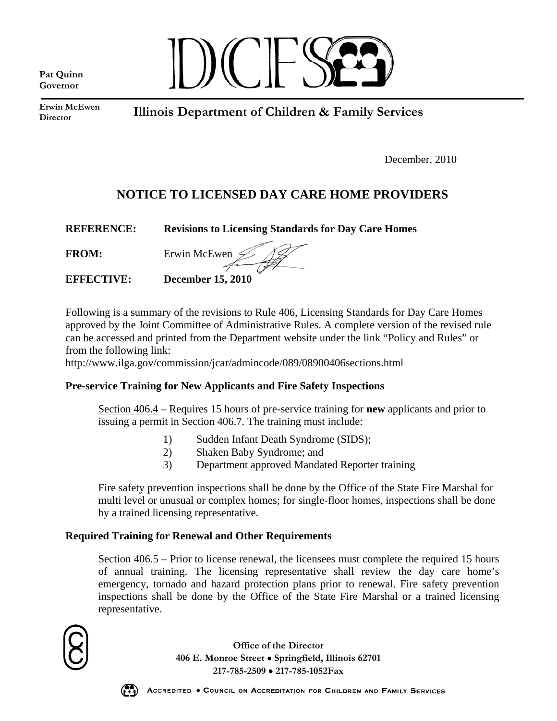**Pat Quinn Governor**



**Erwin McEwen Director** 

**Illinois Department of Children & Family Services** 

December, 2010

# **NOTICE TO LICENSED DAY CARE HOME PROVIDERS**

| <b>REFERENCE:</b> | <b>Revisions to Licensing Standards for Day Care Homes</b> |
|-------------------|------------------------------------------------------------|
| <b>FROM:</b>      | Erwin McEwen $\mathcal{L}$                                 |
| <b>EFFECTIVE:</b> | <b>December 15, 2010</b>                                   |

Following is a summary of the revisions to Rule 406, Licensing Standards for Day Care Homes approved by the Joint Committee of Administrative Rules. A complete version of the revised rule can be accessed and printed from the Department website under the link "Policy and Rules" or from the following link:

<http://www.ilga.gov/commission/jcar/admincode/089/08900406sections.html>

# **Pre-service Training for New Applicants and Fire Safety Inspections**

Section 406.4 – Requires 15 hours of pre-service training for **new** applicants and prior to issuing a permit in Section 406.7. The training must include:

- 1) Sudden Infant Death Syndrome (SIDS);
- 2) Shaken Baby Syndrome; and
- 3) Department approved Mandated Reporter training

Fire safety prevention inspections shall be done by the Office of the State Fire Marshal for multi level or unusual or complex homes; for single-floor homes, inspections shall be done by a trained licensing representative.

# **Required Training for Renewal and Other Requirements**

Section 406.5 – Prior to license renewal, the licensees must complete the required 15 hours of annual training. The licensing representative shall review the day care home's emergency, tornado and hazard protection plans prior to renewal. Fire safety prevention inspections shall be done by the Office of the State Fire Marshal or a trained licensing representative.



**Office of the Director 406 E. Monroe Street** • **Springfield, Illinois 62701 217-785-2509** • **217-785-1052Fax**